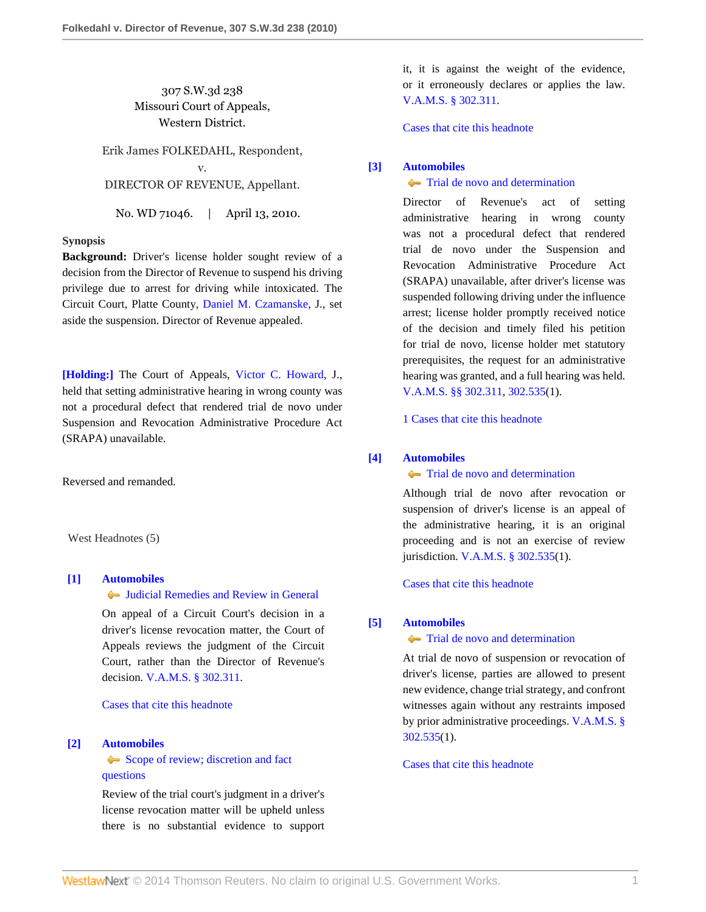307 S.W.3d 238 Missouri Court of Appeals, Western District.

Erik James FOLKEDAHL, Respondent, v. DIRECTOR OF REVENUE, Appellant.

No. WD 71046. | April 13, 2010.

# **Synopsis**

**Background:** Driver's license holder sought review of a decision from the Director of Revenue to suspend his driving privilege due to arrest for driving while intoxicated. The Circuit Court, Platte County, [Daniel M. Czamanske](http://www.westlaw.com/Link/Document/FullText?findType=h&pubNum=176284&cite=0236469701&originatingDoc=I537b024a46f011dfaad3d35f6227d4a8&refType=RQ&originationContext=document&vr=3.0&rs=cblt1.0&transitionType=DocumentItem&contextData=(sc.Search)), J., set aside the suspension. Director of Revenue appealed.

**[\[Holding:\]](#page-0-0)** The Court of Appeals, [Victor C. Howard,](http://www.westlaw.com/Link/Document/FullText?findType=h&pubNum=176284&cite=0142872101&originatingDoc=I537b024a46f011dfaad3d35f6227d4a8&refType=RQ&originationContext=document&vr=3.0&rs=cblt1.0&transitionType=DocumentItem&contextData=(sc.Search)) J., held that setting administrative hearing in wrong county was not a procedural defect that rendered trial de novo under Suspension and Revocation Administrative Procedure Act (SRAPA) unavailable.

Reversed and remanded.

West Headnotes (5)

# <span id="page-0-1"></span>**[\[1\]](#page-1-0) [Automobiles](http://www.westlaw.com/Browse/Home/KeyNumber/48A/View.html?docGuid=I537b024a46f011dfaad3d35f6227d4a8&originationContext=document&vr=3.0&rs=cblt1.0&transitionType=DocumentItem&contextData=(sc.Search))**

[Judicial Remedies and Review in General](http://www.westlaw.com/Browse/Home/KeyNumber/48Ak144.2(2)/View.html?docGuid=I537b024a46f011dfaad3d35f6227d4a8&originationContext=document&vr=3.0&rs=cblt1.0&transitionType=DocumentItem&contextData=(sc.Search))

On appeal of a Circuit Court's decision in a driver's license revocation matter, the Court of Appeals reviews the judgment of the Circuit Court, rather than the Director of Revenue's decision. [V.A.M.S. § 302.311](http://www.westlaw.com/Link/Document/FullText?findType=L&pubNum=1000229&cite=MOST302.311&originatingDoc=I537b024a46f011dfaad3d35f6227d4a8&refType=LQ&originationContext=document&vr=3.0&rs=cblt1.0&transitionType=DocumentItem&contextData=(sc.Search)).

[Cases that cite this headnote](http://www.westlaw.com/Link/RelatedInformation/DocHeadnoteLink?docGuid=I537b024a46f011dfaad3d35f6227d4a8&headnoteId=202173513600120101101031846&originationContext=document&vr=3.0&rs=cblt1.0&transitionType=CitingReferences&contextData=(sc.Search))

## <span id="page-0-2"></span>**[\[2\]](#page-1-1) [Automobiles](http://www.westlaw.com/Browse/Home/KeyNumber/48A/View.html?docGuid=I537b024a46f011dfaad3d35f6227d4a8&originationContext=document&vr=3.0&rs=cblt1.0&transitionType=DocumentItem&contextData=(sc.Search))**

[Scope of review; discretion and fact](http://www.westlaw.com/Browse/Home/KeyNumber/48Ak144.2(3)/View.html?docGuid=I537b024a46f011dfaad3d35f6227d4a8&originationContext=document&vr=3.0&rs=cblt1.0&transitionType=DocumentItem&contextData=(sc.Search)) [questions](http://www.westlaw.com/Browse/Home/KeyNumber/48Ak144.2(3)/View.html?docGuid=I537b024a46f011dfaad3d35f6227d4a8&originationContext=document&vr=3.0&rs=cblt1.0&transitionType=DocumentItem&contextData=(sc.Search))

Review of the trial court's judgment in a driver's license revocation matter will be upheld unless there is no substantial evidence to support

it, it is against the weight of the evidence, or it erroneously declares or applies the law. [V.A.M.S. § 302.311.](http://www.westlaw.com/Link/Document/FullText?findType=L&pubNum=1000229&cite=MOST302.311&originatingDoc=I537b024a46f011dfaad3d35f6227d4a8&refType=LQ&originationContext=document&vr=3.0&rs=cblt1.0&transitionType=DocumentItem&contextData=(sc.Search))

[Cases that cite this headnote](http://www.westlaw.com/Link/RelatedInformation/DocHeadnoteLink?docGuid=I537b024a46f011dfaad3d35f6227d4a8&headnoteId=202173513600220101101031846&originationContext=document&vr=3.0&rs=cblt1.0&transitionType=CitingReferences&contextData=(sc.Search))

## <span id="page-0-0"></span>**[\[3\]](#page-2-0) [Automobiles](http://www.westlaw.com/Browse/Home/KeyNumber/48A/View.html?docGuid=I537b024a46f011dfaad3d35f6227d4a8&originationContext=document&vr=3.0&rs=cblt1.0&transitionType=DocumentItem&contextData=(sc.Search))**

## **[Trial de novo and determination](http://www.westlaw.com/Browse/Home/KeyNumber/48Ak144.2(4)/View.html?docGuid=I537b024a46f011dfaad3d35f6227d4a8&originationContext=document&vr=3.0&rs=cblt1.0&transitionType=DocumentItem&contextData=(sc.Search))**

Director of Revenue's act of setting administrative hearing in wrong county was not a procedural defect that rendered trial de novo under the Suspension and Revocation Administrative Procedure Act (SRAPA) unavailable, after driver's license was suspended following driving under the influence arrest; license holder promptly received notice of the decision and timely filed his petition for trial de novo, license holder met statutory prerequisites, the request for an administrative hearing was granted, and a full hearing was held. [V.A.M.S. §§ 302.311,](http://www.westlaw.com/Link/Document/FullText?findType=L&pubNum=1000229&cite=MOST302.311&originatingDoc=I537b024a46f011dfaad3d35f6227d4a8&refType=LQ&originationContext=document&vr=3.0&rs=cblt1.0&transitionType=DocumentItem&contextData=(sc.Search)) [302.535](http://www.westlaw.com/Link/Document/FullText?findType=L&pubNum=1000229&cite=MOST302.535&originatingDoc=I537b024a46f011dfaad3d35f6227d4a8&refType=LQ&originationContext=document&vr=3.0&rs=cblt1.0&transitionType=DocumentItem&contextData=(sc.Search))(1).

[1 Cases that cite this headnote](http://www.westlaw.com/Link/RelatedInformation/DocHeadnoteLink?docGuid=I537b024a46f011dfaad3d35f6227d4a8&headnoteId=202173513600320101101031846&originationContext=document&vr=3.0&rs=cblt1.0&transitionType=CitingReferences&contextData=(sc.Search))

## <span id="page-0-3"></span>**[\[4\]](#page-2-1) [Automobiles](http://www.westlaw.com/Browse/Home/KeyNumber/48A/View.html?docGuid=I537b024a46f011dfaad3d35f6227d4a8&originationContext=document&vr=3.0&rs=cblt1.0&transitionType=DocumentItem&contextData=(sc.Search))**

**[Trial de novo and determination](http://www.westlaw.com/Browse/Home/KeyNumber/48Ak144.2(4)/View.html?docGuid=I537b024a46f011dfaad3d35f6227d4a8&originationContext=document&vr=3.0&rs=cblt1.0&transitionType=DocumentItem&contextData=(sc.Search))** 

Although trial de novo after revocation or suspension of driver's license is an appeal of the administrative hearing, it is an original proceeding and is not an exercise of review jurisdiction. [V.A.M.S. § 302.535](http://www.westlaw.com/Link/Document/FullText?findType=L&pubNum=1000229&cite=MOST302.535&originatingDoc=I537b024a46f011dfaad3d35f6227d4a8&refType=LQ&originationContext=document&vr=3.0&rs=cblt1.0&transitionType=DocumentItem&contextData=(sc.Search))(1).

[Cases that cite this headnote](http://www.westlaw.com/Link/RelatedInformation/DocHeadnoteLink?docGuid=I537b024a46f011dfaad3d35f6227d4a8&headnoteId=202173513600420101101031846&originationContext=document&vr=3.0&rs=cblt1.0&transitionType=CitingReferences&contextData=(sc.Search))

## <span id="page-0-4"></span>**[\[5\]](#page-2-2) [Automobiles](http://www.westlaw.com/Browse/Home/KeyNumber/48A/View.html?docGuid=I537b024a46f011dfaad3d35f6227d4a8&originationContext=document&vr=3.0&rs=cblt1.0&transitionType=DocumentItem&contextData=(sc.Search))**

**[Trial de novo and determination](http://www.westlaw.com/Browse/Home/KeyNumber/48Ak144.2(4)/View.html?docGuid=I537b024a46f011dfaad3d35f6227d4a8&originationContext=document&vr=3.0&rs=cblt1.0&transitionType=DocumentItem&contextData=(sc.Search))** 

At trial de novo of suspension or revocation of driver's license, parties are allowed to present new evidence, change trial strategy, and confront witnesses again without any restraints imposed by prior administrative proceedings. [V.A.M.S. §](http://www.westlaw.com/Link/Document/FullText?findType=L&pubNum=1000229&cite=MOST302.535&originatingDoc=I537b024a46f011dfaad3d35f6227d4a8&refType=LQ&originationContext=document&vr=3.0&rs=cblt1.0&transitionType=DocumentItem&contextData=(sc.Search)) [302.535](http://www.westlaw.com/Link/Document/FullText?findType=L&pubNum=1000229&cite=MOST302.535&originatingDoc=I537b024a46f011dfaad3d35f6227d4a8&refType=LQ&originationContext=document&vr=3.0&rs=cblt1.0&transitionType=DocumentItem&contextData=(sc.Search))(1).

[Cases that cite this headnote](http://www.westlaw.com/Link/RelatedInformation/DocHeadnoteLink?docGuid=I537b024a46f011dfaad3d35f6227d4a8&headnoteId=202173513600520101101031846&originationContext=document&vr=3.0&rs=cblt1.0&transitionType=CitingReferences&contextData=(sc.Search))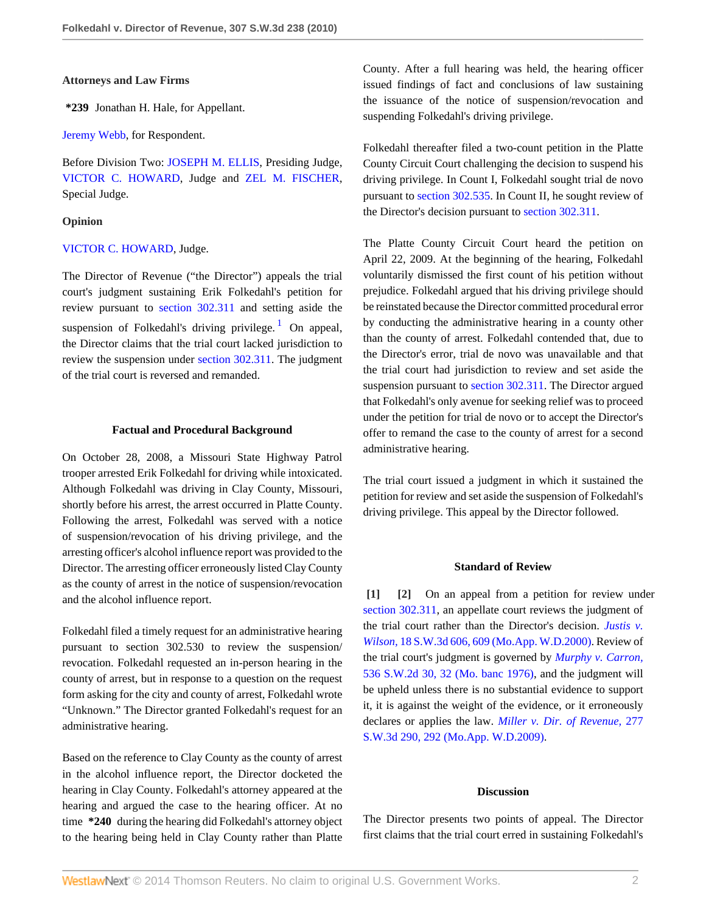#### **Attorneys and Law Firms**

**\*239** Jonathan H. Hale, for Appellant.

[Jeremy Webb](http://www.westlaw.com/Link/Document/FullText?findType=h&pubNum=176284&cite=0364943301&originatingDoc=I537b024a46f011dfaad3d35f6227d4a8&refType=MC&originationContext=document&vr=3.0&rs=cblt1.0&transitionType=DocumentItem&contextData=(sc.Search)), for Respondent.

Before Division Two: [JOSEPH M. ELLIS](http://www.westlaw.com/Link/Document/FullText?findType=h&pubNum=176284&cite=0210830201&originatingDoc=I537b024a46f011dfaad3d35f6227d4a8&refType=RQ&originationContext=document&vr=3.0&rs=cblt1.0&transitionType=DocumentItem&contextData=(sc.Search)), Presiding Judge, [VICTOR C. HOWARD](http://www.westlaw.com/Link/Document/FullText?findType=h&pubNum=176284&cite=0142872101&originatingDoc=I537b024a46f011dfaad3d35f6227d4a8&refType=RQ&originationContext=document&vr=3.0&rs=cblt1.0&transitionType=DocumentItem&contextData=(sc.Search)), Judge and [ZEL M. FISCHER](http://www.westlaw.com/Link/Document/FullText?findType=h&pubNum=176284&cite=0284514601&originatingDoc=I537b024a46f011dfaad3d35f6227d4a8&refType=RQ&originationContext=document&vr=3.0&rs=cblt1.0&transitionType=DocumentItem&contextData=(sc.Search)), Special Judge.

## **Opinion**

#### [VICTOR C. HOWARD](http://www.westlaw.com/Link/Document/FullText?findType=h&pubNum=176284&cite=0142872101&originatingDoc=I537b024a46f011dfaad3d35f6227d4a8&refType=RQ&originationContext=document&vr=3.0&rs=cblt1.0&transitionType=DocumentItem&contextData=(sc.Search)), Judge.

The Director of Revenue ("the Director") appeals the trial court's judgment sustaining Erik Folkedahl's petition for review pursuant to [section 302.311](http://www.westlaw.com/Link/Document/FullText?findType=L&pubNum=1000229&cite=MOST302.311&originatingDoc=I537b024a46f011dfaad3d35f6227d4a8&refType=LQ&originationContext=document&vr=3.0&rs=cblt1.0&transitionType=DocumentItem&contextData=(sc.Search)) and setting aside the suspension of Folkedahl's driving privilege.<sup>[1](#page-3-0)</sup> On appeal, the Director claims that the trial court lacked jurisdiction to review the suspension under [section 302.311](http://www.westlaw.com/Link/Document/FullText?findType=L&pubNum=1000229&cite=MOST302.311&originatingDoc=I537b024a46f011dfaad3d35f6227d4a8&refType=LQ&originationContext=document&vr=3.0&rs=cblt1.0&transitionType=DocumentItem&contextData=(sc.Search)). The judgment of the trial court is reversed and remanded.

## **Factual and Procedural Background**

On October 28, 2008, a Missouri State Highway Patrol trooper arrested Erik Folkedahl for driving while intoxicated. Although Folkedahl was driving in Clay County, Missouri, shortly before his arrest, the arrest occurred in Platte County. Following the arrest, Folkedahl was served with a notice of suspension/revocation of his driving privilege, and the arresting officer's alcohol influence report was provided to the Director. The arresting officer erroneously listed Clay County as the county of arrest in the notice of suspension/revocation and the alcohol influence report.

Folkedahl filed a timely request for an administrative hearing pursuant to section 302.530 to review the suspension/ revocation. Folkedahl requested an in-person hearing in the county of arrest, but in response to a question on the request form asking for the city and county of arrest, Folkedahl wrote "Unknown." The Director granted Folkedahl's request for an administrative hearing.

Based on the reference to Clay County as the county of arrest in the alcohol influence report, the Director docketed the hearing in Clay County. Folkedahl's attorney appeared at the hearing and argued the case to the hearing officer. At no time **\*240** during the hearing did Folkedahl's attorney object to the hearing being held in Clay County rather than Platte County. After a full hearing was held, the hearing officer issued findings of fact and conclusions of law sustaining the issuance of the notice of suspension/revocation and suspending Folkedahl's driving privilege.

Folkedahl thereafter filed a two-count petition in the Platte County Circuit Court challenging the decision to suspend his driving privilege. In Count I, Folkedahl sought trial de novo pursuant to [section 302.535](http://www.westlaw.com/Link/Document/FullText?findType=L&pubNum=1000229&cite=MOST302.535&originatingDoc=I537b024a46f011dfaad3d35f6227d4a8&refType=LQ&originationContext=document&vr=3.0&rs=cblt1.0&transitionType=DocumentItem&contextData=(sc.Search)). In Count II, he sought review of the Director's decision pursuant to [section 302.311.](http://www.westlaw.com/Link/Document/FullText?findType=L&pubNum=1000229&cite=MOST302.311&originatingDoc=I537b024a46f011dfaad3d35f6227d4a8&refType=LQ&originationContext=document&vr=3.0&rs=cblt1.0&transitionType=DocumentItem&contextData=(sc.Search))

<span id="page-1-2"></span>The Platte County Circuit Court heard the petition on April 22, 2009. At the beginning of the hearing, Folkedahl voluntarily dismissed the first count of his petition without prejudice. Folkedahl argued that his driving privilege should be reinstated because the Director committed procedural error by conducting the administrative hearing in a county other than the county of arrest. Folkedahl contended that, due to the Director's error, trial de novo was unavailable and that the trial court had jurisdiction to review and set aside the suspension pursuant to [section 302.311.](http://www.westlaw.com/Link/Document/FullText?findType=L&pubNum=1000229&cite=MOST302.311&originatingDoc=I537b024a46f011dfaad3d35f6227d4a8&refType=LQ&originationContext=document&vr=3.0&rs=cblt1.0&transitionType=DocumentItem&contextData=(sc.Search)) The Director argued that Folkedahl's only avenue for seeking relief was to proceed under the petition for trial de novo or to accept the Director's offer to remand the case to the county of arrest for a second administrative hearing.

The trial court issued a judgment in which it sustained the petition for review and set aside the suspension of Folkedahl's driving privilege. This appeal by the Director followed.

## <span id="page-1-1"></span>**Standard of Review**

<span id="page-1-0"></span>**[\[1\]](#page-0-1) [\[2\]](#page-0-2)** On an appeal from a petition for review under [section 302.311,](http://www.westlaw.com/Link/Document/FullText?findType=L&pubNum=1000229&cite=MOST302.311&originatingDoc=I537b024a46f011dfaad3d35f6227d4a8&refType=LQ&originationContext=document&vr=3.0&rs=cblt1.0&transitionType=DocumentItem&contextData=(sc.Search)) an appellate court reviews the judgment of the trial court rather than the Director's decision. *[Justis v.](http://www.westlaw.com/Link/Document/FullText?findType=Y&serNum=2000363887&pubNum=4644&fi=co_pp_sp_4644_609&originationContext=document&vr=3.0&rs=cblt1.0&transitionType=DocumentItem&contextData=(sc.Search)#co_pp_sp_4644_609) Wilson,* [18 S.W.3d 606, 609 \(Mo.App. W.D.2000\)](http://www.westlaw.com/Link/Document/FullText?findType=Y&serNum=2000363887&pubNum=4644&fi=co_pp_sp_4644_609&originationContext=document&vr=3.0&rs=cblt1.0&transitionType=DocumentItem&contextData=(sc.Search)#co_pp_sp_4644_609). Review of the trial court's judgment is governed by *[Murphy v. Carron,](http://www.westlaw.com/Link/Document/FullText?findType=Y&serNum=1976117479&pubNum=713&fi=co_pp_sp_713_32&originationContext=document&vr=3.0&rs=cblt1.0&transitionType=DocumentItem&contextData=(sc.Search)#co_pp_sp_713_32)* [536 S.W.2d 30, 32 \(Mo. banc 1976\)](http://www.westlaw.com/Link/Document/FullText?findType=Y&serNum=1976117479&pubNum=713&fi=co_pp_sp_713_32&originationContext=document&vr=3.0&rs=cblt1.0&transitionType=DocumentItem&contextData=(sc.Search)#co_pp_sp_713_32), and the judgment will be upheld unless there is no substantial evidence to support it, it is against the weight of the evidence, or it erroneously declares or applies the law. *[Miller v. Dir. of Revenue,](http://www.westlaw.com/Link/Document/FullText?findType=Y&serNum=2017906270&pubNum=4644&fi=co_pp_sp_4644_292&originationContext=document&vr=3.0&rs=cblt1.0&transitionType=DocumentItem&contextData=(sc.Search)#co_pp_sp_4644_292)* 277 [S.W.3d 290, 292 \(Mo.App. W.D.2009\).](http://www.westlaw.com/Link/Document/FullText?findType=Y&serNum=2017906270&pubNum=4644&fi=co_pp_sp_4644_292&originationContext=document&vr=3.0&rs=cblt1.0&transitionType=DocumentItem&contextData=(sc.Search)#co_pp_sp_4644_292)

# **Discussion**

The Director presents two points of appeal. The Director first claims that the trial court erred in sustaining Folkedahl's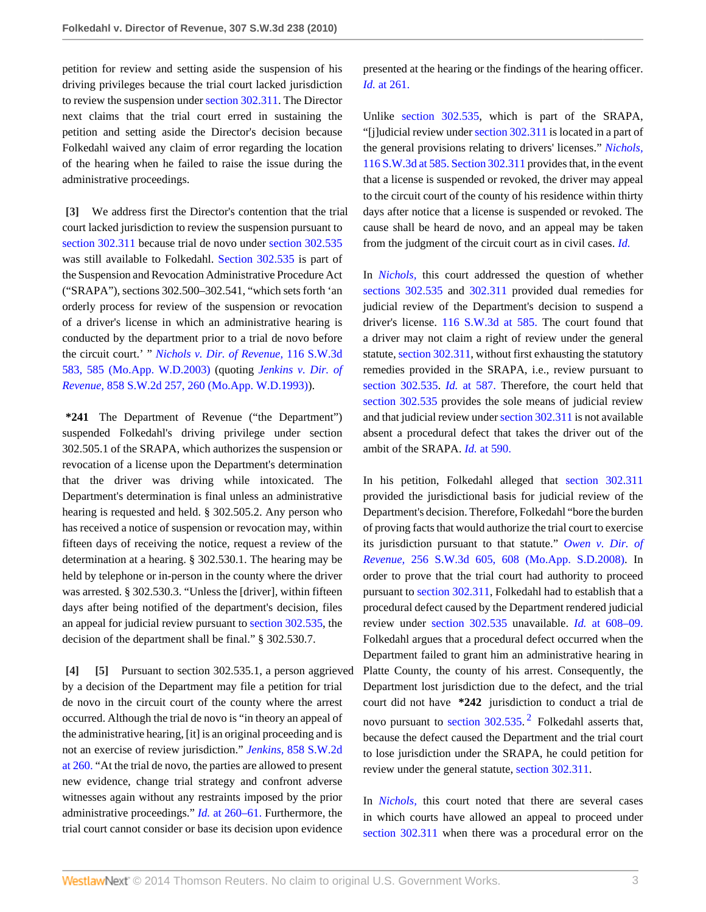petition for review and setting aside the suspension of his driving privileges because the trial court lacked jurisdiction to review the suspension under [section 302.311](http://www.westlaw.com/Link/Document/FullText?findType=L&pubNum=1000229&cite=MOST302.311&originatingDoc=I537b024a46f011dfaad3d35f6227d4a8&refType=LQ&originationContext=document&vr=3.0&rs=cblt1.0&transitionType=DocumentItem&contextData=(sc.Search)). The Director next claims that the trial court erred in sustaining the petition and setting aside the Director's decision because Folkedahl waived any claim of error regarding the location of the hearing when he failed to raise the issue during the administrative proceedings.

<span id="page-2-0"></span>**[\[3\]](#page-0-0)** We address first the Director's contention that the trial court lacked jurisdiction to review the suspension pursuant to [section 302.311](http://www.westlaw.com/Link/Document/FullText?findType=L&pubNum=1000229&cite=MOST302.311&originatingDoc=I537b024a46f011dfaad3d35f6227d4a8&refType=LQ&originationContext=document&vr=3.0&rs=cblt1.0&transitionType=DocumentItem&contextData=(sc.Search)) because trial de novo under [section 302.535](http://www.westlaw.com/Link/Document/FullText?findType=L&pubNum=1000229&cite=MOST302.535&originatingDoc=I537b024a46f011dfaad3d35f6227d4a8&refType=LQ&originationContext=document&vr=3.0&rs=cblt1.0&transitionType=DocumentItem&contextData=(sc.Search)) was still available to Folkedahl. [Section 302.535](http://www.westlaw.com/Link/Document/FullText?findType=L&pubNum=1000229&cite=MOST302.535&originatingDoc=I537b024a46f011dfaad3d35f6227d4a8&refType=LQ&originationContext=document&vr=3.0&rs=cblt1.0&transitionType=DocumentItem&contextData=(sc.Search)) is part of the Suspension and Revocation Administrative Procedure Act ("SRAPA"), sections 302.500–302.541, "which sets forth 'an orderly process for review of the suspension or revocation of a driver's license in which an administrative hearing is conducted by the department prior to a trial de novo before the circuit court.' " *[Nichols v. Dir. of Revenue,](http://www.westlaw.com/Link/Document/FullText?findType=Y&serNum=2003459955&pubNum=4644&fi=co_pp_sp_4644_585&originationContext=document&vr=3.0&rs=cblt1.0&transitionType=DocumentItem&contextData=(sc.Search)#co_pp_sp_4644_585)* 116 S.W.3d [583, 585 \(Mo.App. W.D.2003\)](http://www.westlaw.com/Link/Document/FullText?findType=Y&serNum=2003459955&pubNum=4644&fi=co_pp_sp_4644_585&originationContext=document&vr=3.0&rs=cblt1.0&transitionType=DocumentItem&contextData=(sc.Search)#co_pp_sp_4644_585) (quoting *[Jenkins v. Dir. of](http://www.westlaw.com/Link/Document/FullText?findType=Y&serNum=1993145134&pubNum=713&fi=co_pp_sp_713_260&originationContext=document&vr=3.0&rs=cblt1.0&transitionType=DocumentItem&contextData=(sc.Search)#co_pp_sp_713_260) Revenue,* [858 S.W.2d 257, 260 \(Mo.App. W.D.1993\)](http://www.westlaw.com/Link/Document/FullText?findType=Y&serNum=1993145134&pubNum=713&fi=co_pp_sp_713_260&originationContext=document&vr=3.0&rs=cblt1.0&transitionType=DocumentItem&contextData=(sc.Search)#co_pp_sp_713_260)).

**\*241** The Department of Revenue ("the Department") suspended Folkedahl's driving privilege under section 302.505.1 of the SRAPA, which authorizes the suspension or revocation of a license upon the Department's determination that the driver was driving while intoxicated. The Department's determination is final unless an administrative hearing is requested and held. § 302.505.2. Any person who has received a notice of suspension or revocation may, within fifteen days of receiving the notice, request a review of the determination at a hearing. § 302.530.1. The hearing may be held by telephone or in-person in the county where the driver was arrested. § 302.530.3. "Unless the [driver], within fifteen days after being notified of the department's decision, files an appeal for judicial review pursuant to [section 302.535,](http://www.westlaw.com/Link/Document/FullText?findType=L&pubNum=1000229&cite=MOST302.535&originatingDoc=I537b024a46f011dfaad3d35f6227d4a8&refType=LQ&originationContext=document&vr=3.0&rs=cblt1.0&transitionType=DocumentItem&contextData=(sc.Search)) the decision of the department shall be final." § 302.530.7.

<span id="page-2-2"></span><span id="page-2-1"></span>**[\[4\]](#page-0-3) [\[5\]](#page-0-4)** Pursuant to section 302.535.1, a person aggrieved by a decision of the Department may file a petition for trial de novo in the circuit court of the county where the arrest occurred. Although the trial de novo is "in theory an appeal of the administrative hearing, [it] is an original proceeding and is not an exercise of review jurisdiction." *Jenkins,* [858 S.W.2d](http://www.westlaw.com/Link/Document/FullText?findType=Y&serNum=1993145134&pubNum=713&fi=co_pp_sp_713_260&originationContext=document&vr=3.0&rs=cblt1.0&transitionType=DocumentItem&contextData=(sc.Search)#co_pp_sp_713_260) [at 260.](http://www.westlaw.com/Link/Document/FullText?findType=Y&serNum=1993145134&pubNum=713&fi=co_pp_sp_713_260&originationContext=document&vr=3.0&rs=cblt1.0&transitionType=DocumentItem&contextData=(sc.Search)#co_pp_sp_713_260) "At the trial de novo, the parties are allowed to present new evidence, change trial strategy and confront adverse witnesses again without any restraints imposed by the prior administrative proceedings." *Id.* [at 260–61.](http://www.westlaw.com/Link/Document/FullText?findType=Y&serNum=1993145134&originationContext=document&vr=3.0&rs=cblt1.0&transitionType=DocumentItem&contextData=(sc.Search)) Furthermore, the trial court cannot consider or base its decision upon evidence

presented at the hearing or the findings of the hearing officer. *Id.* [at 261.](http://www.westlaw.com/Link/Document/FullText?findType=Y&serNum=1993145134&originationContext=document&vr=3.0&rs=cblt1.0&transitionType=DocumentItem&contextData=(sc.Search))

Unlike [section 302.535,](http://www.westlaw.com/Link/Document/FullText?findType=L&pubNum=1000229&cite=MOST302.535&originatingDoc=I537b024a46f011dfaad3d35f6227d4a8&refType=LQ&originationContext=document&vr=3.0&rs=cblt1.0&transitionType=DocumentItem&contextData=(sc.Search)) which is part of the SRAPA, "[j]udicial review under [section 302.311](http://www.westlaw.com/Link/Document/FullText?findType=L&pubNum=1000229&cite=MOST302.311&originatingDoc=I537b024a46f011dfaad3d35f6227d4a8&refType=LQ&originationContext=document&vr=3.0&rs=cblt1.0&transitionType=DocumentItem&contextData=(sc.Search)) is located in a part of the general provisions relating to drivers' licenses." *[Nichols,](http://www.westlaw.com/Link/Document/FullText?findType=Y&serNum=2003459955&pubNum=4644&fi=co_pp_sp_4644_585&originationContext=document&vr=3.0&rs=cblt1.0&transitionType=DocumentItem&contextData=(sc.Search)#co_pp_sp_4644_585)* [116 S.W.3d at 585.](http://www.westlaw.com/Link/Document/FullText?findType=Y&serNum=2003459955&pubNum=4644&fi=co_pp_sp_4644_585&originationContext=document&vr=3.0&rs=cblt1.0&transitionType=DocumentItem&contextData=(sc.Search)#co_pp_sp_4644_585)[Section 302.311](http://www.westlaw.com/Link/Document/FullText?findType=L&pubNum=1000229&cite=MOST302.311&originatingDoc=I537b024a46f011dfaad3d35f6227d4a8&refType=LQ&originationContext=document&vr=3.0&rs=cblt1.0&transitionType=DocumentItem&contextData=(sc.Search)) provides that, in the event that a license is suspended or revoked, the driver may appeal to the circuit court of the county of his residence within thirty days after notice that a license is suspended or revoked. The cause shall be heard de novo, and an appeal may be taken from the judgment of the circuit court as in civil cases. *[Id.](http://www.westlaw.com/Link/Document/FullText?findType=Y&serNum=2003459955&originationContext=document&vr=3.0&rs=cblt1.0&transitionType=DocumentItem&contextData=(sc.Search))*

In *[Nichols,](http://www.westlaw.com/Link/Document/FullText?findType=Y&serNum=2003459955&originationContext=document&vr=3.0&rs=cblt1.0&transitionType=DocumentItem&contextData=(sc.Search))* this court addressed the question of whether [sections 302.535](http://www.westlaw.com/Link/Document/FullText?findType=L&pubNum=1000229&cite=MOST302.535&originatingDoc=I537b024a46f011dfaad3d35f6227d4a8&refType=LQ&originationContext=document&vr=3.0&rs=cblt1.0&transitionType=DocumentItem&contextData=(sc.Search)) and [302.311](http://www.westlaw.com/Link/Document/FullText?findType=L&pubNum=1000229&cite=MOST302.311&originatingDoc=I537b024a46f011dfaad3d35f6227d4a8&refType=LQ&originationContext=document&vr=3.0&rs=cblt1.0&transitionType=DocumentItem&contextData=(sc.Search)) provided dual remedies for judicial review of the Department's decision to suspend a driver's license. [116 S.W.3d at 585.](http://www.westlaw.com/Link/Document/FullText?findType=Y&serNum=2003459955&pubNum=4644&fi=co_pp_sp_4644_585&originationContext=document&vr=3.0&rs=cblt1.0&transitionType=DocumentItem&contextData=(sc.Search)#co_pp_sp_4644_585) The court found that a driver may not claim a right of review under the general statute, [section 302.311](http://www.westlaw.com/Link/Document/FullText?findType=L&pubNum=1000229&cite=MOST302.311&originatingDoc=I537b024a46f011dfaad3d35f6227d4a8&refType=LQ&originationContext=document&vr=3.0&rs=cblt1.0&transitionType=DocumentItem&contextData=(sc.Search)), without first exhausting the statutory remedies provided in the SRAPA, i.e., review pursuant to [section 302.535.](http://www.westlaw.com/Link/Document/FullText?findType=L&pubNum=1000229&cite=MOST302.535&originatingDoc=I537b024a46f011dfaad3d35f6227d4a8&refType=LQ&originationContext=document&vr=3.0&rs=cblt1.0&transitionType=DocumentItem&contextData=(sc.Search)) *Id.* [at 587.](http://www.westlaw.com/Link/Document/FullText?findType=Y&serNum=2003459955&originationContext=document&vr=3.0&rs=cblt1.0&transitionType=DocumentItem&contextData=(sc.Search)) Therefore, the court held that [section 302.535](http://www.westlaw.com/Link/Document/FullText?findType=L&pubNum=1000229&cite=MOST302.535&originatingDoc=I537b024a46f011dfaad3d35f6227d4a8&refType=LQ&originationContext=document&vr=3.0&rs=cblt1.0&transitionType=DocumentItem&contextData=(sc.Search)) provides the sole means of judicial review and that judicial review under [section 302.311](http://www.westlaw.com/Link/Document/FullText?findType=L&pubNum=1000229&cite=MOST302.311&originatingDoc=I537b024a46f011dfaad3d35f6227d4a8&refType=LQ&originationContext=document&vr=3.0&rs=cblt1.0&transitionType=DocumentItem&contextData=(sc.Search)) is not available absent a procedural defect that takes the driver out of the ambit of the SRAPA. *Id.* [at 590.](http://www.westlaw.com/Link/Document/FullText?findType=Y&serNum=2003459955&originationContext=document&vr=3.0&rs=cblt1.0&transitionType=DocumentItem&contextData=(sc.Search))

In his petition, Folkedahl alleged that [section 302.311](http://www.westlaw.com/Link/Document/FullText?findType=L&pubNum=1000229&cite=MOST302.311&originatingDoc=I537b024a46f011dfaad3d35f6227d4a8&refType=LQ&originationContext=document&vr=3.0&rs=cblt1.0&transitionType=DocumentItem&contextData=(sc.Search)) provided the jurisdictional basis for judicial review of the Department's decision. Therefore, Folkedahl "bore the burden of proving facts that would authorize the trial court to exercise its jurisdiction pursuant to that statute." *[Owen v. Dir. of](http://www.westlaw.com/Link/Document/FullText?findType=Y&serNum=2016380933&pubNum=4644&fi=co_pp_sp_4644_608&originationContext=document&vr=3.0&rs=cblt1.0&transitionType=DocumentItem&contextData=(sc.Search)#co_pp_sp_4644_608) Revenue,* [256 S.W.3d 605, 608 \(Mo.App. S.D.2008\).](http://www.westlaw.com/Link/Document/FullText?findType=Y&serNum=2016380933&pubNum=4644&fi=co_pp_sp_4644_608&originationContext=document&vr=3.0&rs=cblt1.0&transitionType=DocumentItem&contextData=(sc.Search)#co_pp_sp_4644_608) In order to prove that the trial court had authority to proceed pursuant to [section 302.311,](http://www.westlaw.com/Link/Document/FullText?findType=L&pubNum=1000229&cite=MOST302.311&originatingDoc=I537b024a46f011dfaad3d35f6227d4a8&refType=LQ&originationContext=document&vr=3.0&rs=cblt1.0&transitionType=DocumentItem&contextData=(sc.Search)) Folkedahl had to establish that a procedural defect caused by the Department rendered judicial review under [section 302.535](http://www.westlaw.com/Link/Document/FullText?findType=L&pubNum=1000229&cite=MOST302.535&originatingDoc=I537b024a46f011dfaad3d35f6227d4a8&refType=LQ&originationContext=document&vr=3.0&rs=cblt1.0&transitionType=DocumentItem&contextData=(sc.Search)) unavailable. *Id.* [at 608–09.](http://www.westlaw.com/Link/Document/FullText?findType=Y&serNum=2016380933&originationContext=document&vr=3.0&rs=cblt1.0&transitionType=DocumentItem&contextData=(sc.Search)) Folkedahl argues that a procedural defect occurred when the Department failed to grant him an administrative hearing in Platte County, the county of his arrest. Consequently, the Department lost jurisdiction due to the defect, and the trial court did not have **\*242** jurisdiction to conduct a trial de novo pursuant to section  $302.535$  $302.535$  $302.535$ .  $^{2}$  Folkedahl asserts that, because the defect caused the Department and the trial court to lose jurisdiction under the SRAPA, he could petition for review under the general statute, [section 302.311](http://www.westlaw.com/Link/Document/FullText?findType=L&pubNum=1000229&cite=MOST302.311&originatingDoc=I537b024a46f011dfaad3d35f6227d4a8&refType=LQ&originationContext=document&vr=3.0&rs=cblt1.0&transitionType=DocumentItem&contextData=(sc.Search)).

<span id="page-2-3"></span>In *[Nichols,](http://www.westlaw.com/Link/Document/FullText?findType=Y&serNum=2003459955&originationContext=document&vr=3.0&rs=cblt1.0&transitionType=DocumentItem&contextData=(sc.Search))* this court noted that there are several cases in which courts have allowed an appeal to proceed under [section 302.311](http://www.westlaw.com/Link/Document/FullText?findType=L&pubNum=1000229&cite=MOST302.311&originatingDoc=I537b024a46f011dfaad3d35f6227d4a8&refType=LQ&originationContext=document&vr=3.0&rs=cblt1.0&transitionType=DocumentItem&contextData=(sc.Search)) when there was a procedural error on the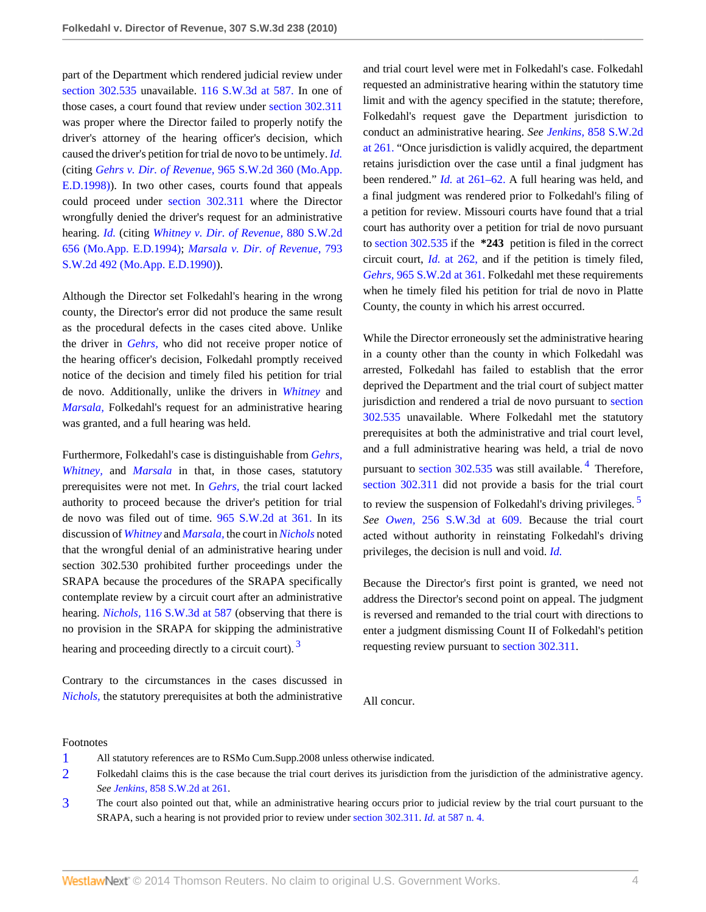part of the Department which rendered judicial review under [section 302.535](http://www.westlaw.com/Link/Document/FullText?findType=L&pubNum=1000229&cite=MOST302.535&originatingDoc=I537b024a46f011dfaad3d35f6227d4a8&refType=LQ&originationContext=document&vr=3.0&rs=cblt1.0&transitionType=DocumentItem&contextData=(sc.Search)) unavailable. [116 S.W.3d at 587.](http://www.westlaw.com/Link/Document/FullText?findType=Y&serNum=2003459955&pubNum=4644&fi=co_pp_sp_4644_587&originationContext=document&vr=3.0&rs=cblt1.0&transitionType=DocumentItem&contextData=(sc.Search)#co_pp_sp_4644_587) In one of those cases, a court found that review under [section 302.311](http://www.westlaw.com/Link/Document/FullText?findType=L&pubNum=1000229&cite=MOST302.311&originatingDoc=I537b024a46f011dfaad3d35f6227d4a8&refType=LQ&originationContext=document&vr=3.0&rs=cblt1.0&transitionType=DocumentItem&contextData=(sc.Search)) was proper where the Director failed to properly notify the driver's attorney of the hearing officer's decision, which caused the driver's petition for trial de novo to be untimely. *[Id.](http://www.westlaw.com/Link/Document/FullText?findType=Y&serNum=2003459955&originationContext=document&vr=3.0&rs=cblt1.0&transitionType=DocumentItem&contextData=(sc.Search))* (citing *Gehrs v. Dir. of Revenue,* [965 S.W.2d 360 \(Mo.App.](http://www.westlaw.com/Link/Document/FullText?findType=Y&serNum=1998071373&pubNum=713&originationContext=document&vr=3.0&rs=cblt1.0&transitionType=DocumentItem&contextData=(sc.Search)) [E.D.1998\)\)](http://www.westlaw.com/Link/Document/FullText?findType=Y&serNum=1998071373&pubNum=713&originationContext=document&vr=3.0&rs=cblt1.0&transitionType=DocumentItem&contextData=(sc.Search)). In two other cases, courts found that appeals could proceed under [section 302.311](http://www.westlaw.com/Link/Document/FullText?findType=L&pubNum=1000229&cite=MOST302.311&originatingDoc=I537b024a46f011dfaad3d35f6227d4a8&refType=LQ&originationContext=document&vr=3.0&rs=cblt1.0&transitionType=DocumentItem&contextData=(sc.Search)) where the Director wrongfully denied the driver's request for an administrative hearing. *[Id.](http://www.westlaw.com/Link/Document/FullText?findType=Y&serNum=2003459955&originationContext=document&vr=3.0&rs=cblt1.0&transitionType=DocumentItem&contextData=(sc.Search))* (citing *[Whitney v. Dir. of Revenue,](http://www.westlaw.com/Link/Document/FullText?findType=Y&serNum=1994165868&pubNum=713&originationContext=document&vr=3.0&rs=cblt1.0&transitionType=DocumentItem&contextData=(sc.Search))* 880 S.W.2d [656 \(Mo.App. E.D.1994\)](http://www.westlaw.com/Link/Document/FullText?findType=Y&serNum=1994165868&pubNum=713&originationContext=document&vr=3.0&rs=cblt1.0&transitionType=DocumentItem&contextData=(sc.Search)); *[Marsala v. Dir. of Revenue,](http://www.westlaw.com/Link/Document/FullText?findType=Y&serNum=1990093363&pubNum=713&originationContext=document&vr=3.0&rs=cblt1.0&transitionType=DocumentItem&contextData=(sc.Search))* 793 [S.W.2d 492 \(Mo.App. E.D.1990\)\)](http://www.westlaw.com/Link/Document/FullText?findType=Y&serNum=1990093363&pubNum=713&originationContext=document&vr=3.0&rs=cblt1.0&transitionType=DocumentItem&contextData=(sc.Search)).

Although the Director set Folkedahl's hearing in the wrong county, the Director's error did not produce the same result as the procedural defects in the cases cited above. Unlike the driver in *[Gehrs,](http://www.westlaw.com/Link/Document/FullText?findType=Y&serNum=1998071373&originationContext=document&vr=3.0&rs=cblt1.0&transitionType=DocumentItem&contextData=(sc.Search))* who did not receive proper notice of the hearing officer's decision, Folkedahl promptly received notice of the decision and timely filed his petition for trial de novo. Additionally, unlike the drivers in *[Whitney](http://www.westlaw.com/Link/Document/FullText?findType=Y&serNum=1994165868&originationContext=document&vr=3.0&rs=cblt1.0&transitionType=DocumentItem&contextData=(sc.Search))* and *[Marsala,](http://www.westlaw.com/Link/Document/FullText?findType=Y&serNum=1990093363&originationContext=document&vr=3.0&rs=cblt1.0&transitionType=DocumentItem&contextData=(sc.Search))* Folkedahl's request for an administrative hearing was granted, and a full hearing was held.

Furthermore, Folkedahl's case is distinguishable from *[Gehrs,](http://www.westlaw.com/Link/Document/FullText?findType=Y&serNum=1998071373&originationContext=document&vr=3.0&rs=cblt1.0&transitionType=DocumentItem&contextData=(sc.Search)) [Whitney,](http://www.westlaw.com/Link/Document/FullText?findType=Y&serNum=1994165868&originationContext=document&vr=3.0&rs=cblt1.0&transitionType=DocumentItem&contextData=(sc.Search))* and *[Marsala](http://www.westlaw.com/Link/Document/FullText?findType=Y&serNum=1990093363&originationContext=document&vr=3.0&rs=cblt1.0&transitionType=DocumentItem&contextData=(sc.Search))* in that, in those cases, statutory prerequisites were not met. In *[Gehrs,](http://www.westlaw.com/Link/Document/FullText?findType=Y&serNum=1998071373&originationContext=document&vr=3.0&rs=cblt1.0&transitionType=DocumentItem&contextData=(sc.Search))* the trial court lacked authority to proceed because the driver's petition for trial de novo was filed out of time. [965 S.W.2d at 361.](http://www.westlaw.com/Link/Document/FullText?findType=Y&serNum=1998071373&pubNum=713&fi=co_pp_sp_713_361&originationContext=document&vr=3.0&rs=cblt1.0&transitionType=DocumentItem&contextData=(sc.Search)#co_pp_sp_713_361) In its discussion of *[Whitney](http://www.westlaw.com/Link/Document/FullText?findType=Y&serNum=1994165868&originationContext=document&vr=3.0&rs=cblt1.0&transitionType=DocumentItem&contextData=(sc.Search))* and *[Marsala,](http://www.westlaw.com/Link/Document/FullText?findType=Y&serNum=1990093363&originationContext=document&vr=3.0&rs=cblt1.0&transitionType=DocumentItem&contextData=(sc.Search))* the court in *[Nichols](http://www.westlaw.com/Link/Document/FullText?findType=Y&serNum=2003459955&originationContext=document&vr=3.0&rs=cblt1.0&transitionType=DocumentItem&contextData=(sc.Search))* noted that the wrongful denial of an administrative hearing under section 302.530 prohibited further proceedings under the SRAPA because the procedures of the SRAPA specifically contemplate review by a circuit court after an administrative hearing. *Nichols,* [116 S.W.3d at 587](http://www.westlaw.com/Link/Document/FullText?findType=Y&serNum=2003459955&pubNum=4644&fi=co_pp_sp_4644_587&originationContext=document&vr=3.0&rs=cblt1.0&transitionType=DocumentItem&contextData=(sc.Search)#co_pp_sp_4644_587) (observing that there is no provision in the SRAPA for skipping the administrative hearing and proceeding directly to a circuit court).  $3$ 

Contrary to the circumstances in the cases discussed in *[Nichols,](http://www.westlaw.com/Link/Document/FullText?findType=Y&serNum=2003459955&originationContext=document&vr=3.0&rs=cblt1.0&transitionType=DocumentItem&contextData=(sc.Search))* the statutory prerequisites at both the administrative and trial court level were met in Folkedahl's case. Folkedahl requested an administrative hearing within the statutory time limit and with the agency specified in the statute; therefore, Folkedahl's request gave the Department jurisdiction to conduct an administrative hearing. *See Jenkins,* [858 S.W.2d](http://www.westlaw.com/Link/Document/FullText?findType=Y&serNum=1993145134&pubNum=713&fi=co_pp_sp_713_261&originationContext=document&vr=3.0&rs=cblt1.0&transitionType=DocumentItem&contextData=(sc.Search)#co_pp_sp_713_261) [at 261.](http://www.westlaw.com/Link/Document/FullText?findType=Y&serNum=1993145134&pubNum=713&fi=co_pp_sp_713_261&originationContext=document&vr=3.0&rs=cblt1.0&transitionType=DocumentItem&contextData=(sc.Search)#co_pp_sp_713_261) "Once jurisdiction is validly acquired, the department retains jurisdiction over the case until a final judgment has been rendered." *Id.* [at 261–62.](http://www.westlaw.com/Link/Document/FullText?findType=Y&serNum=1993145134&originationContext=document&vr=3.0&rs=cblt1.0&transitionType=DocumentItem&contextData=(sc.Search)) A full hearing was held, and a final judgment was rendered prior to Folkedahl's filing of a petition for review. Missouri courts have found that a trial court has authority over a petition for trial de novo pursuant to [section 302.535](http://www.westlaw.com/Link/Document/FullText?findType=L&pubNum=1000229&cite=MOST302.535&originatingDoc=I537b024a46f011dfaad3d35f6227d4a8&refType=LQ&originationContext=document&vr=3.0&rs=cblt1.0&transitionType=DocumentItem&contextData=(sc.Search)) if the **\*243** petition is filed in the correct circuit court, *Id.* [at 262,](http://www.westlaw.com/Link/Document/FullText?findType=Y&serNum=1993145134&originationContext=document&vr=3.0&rs=cblt1.0&transitionType=DocumentItem&contextData=(sc.Search)) and if the petition is timely filed, *Gehrs,* [965 S.W.2d at 361.](http://www.westlaw.com/Link/Document/FullText?findType=Y&serNum=1998071373&pubNum=713&fi=co_pp_sp_713_361&originationContext=document&vr=3.0&rs=cblt1.0&transitionType=DocumentItem&contextData=(sc.Search)#co_pp_sp_713_361) Folkedahl met these requirements when he timely filed his petition for trial de novo in Platte County, the county in which his arrest occurred.

<span id="page-3-4"></span>While the Director erroneously set the administrative hearing in a county other than the county in which Folkedahl was arrested, Folkedahl has failed to establish that the error deprived the Department and the trial court of subject matter jurisdiction and rendered a trial de novo pursuant to [section](http://www.westlaw.com/Link/Document/FullText?findType=L&pubNum=1000229&cite=MOST302.535&originatingDoc=I537b024a46f011dfaad3d35f6227d4a8&refType=LQ&originationContext=document&vr=3.0&rs=cblt1.0&transitionType=DocumentItem&contextData=(sc.Search)) [302.535](http://www.westlaw.com/Link/Document/FullText?findType=L&pubNum=1000229&cite=MOST302.535&originatingDoc=I537b024a46f011dfaad3d35f6227d4a8&refType=LQ&originationContext=document&vr=3.0&rs=cblt1.0&transitionType=DocumentItem&contextData=(sc.Search)) unavailable. Where Folkedahl met the statutory prerequisites at both the administrative and trial court level, and a full administrative hearing was held, a trial de novo pursuant to [section 302.535](http://www.westlaw.com/Link/Document/FullText?findType=L&pubNum=1000229&cite=MOST302.535&originatingDoc=I537b024a46f011dfaad3d35f6227d4a8&refType=LQ&originationContext=document&vr=3.0&rs=cblt1.0&transitionType=DocumentItem&contextData=(sc.Search)) was still available.<sup>[4](#page-4-0)</sup> Therefore, [section 302.311](http://www.westlaw.com/Link/Document/FullText?findType=L&pubNum=1000229&cite=MOST302.311&originatingDoc=I537b024a46f011dfaad3d35f6227d4a8&refType=LQ&originationContext=document&vr=3.0&rs=cblt1.0&transitionType=DocumentItem&contextData=(sc.Search)) did not provide a basis for the trial court to review the suspension of Folkedahl's driving privileges.<sup>[5](#page-4-1)</sup> *See Owen,* [256 S.W.3d at 609.](http://www.westlaw.com/Link/Document/FullText?findType=Y&serNum=2016380933&pubNum=4644&fi=co_pp_sp_4644_609&originationContext=document&vr=3.0&rs=cblt1.0&transitionType=DocumentItem&contextData=(sc.Search)#co_pp_sp_4644_609) Because the trial court acted without authority in reinstating Folkedahl's driving privileges, the decision is null and void. *[Id.](http://www.westlaw.com/Link/Document/FullText?findType=Y&serNum=2016380933&originationContext=document&vr=3.0&rs=cblt1.0&transitionType=DocumentItem&contextData=(sc.Search))*

<span id="page-3-5"></span><span id="page-3-3"></span>Because the Director's first point is granted, we need not address the Director's second point on appeal. The judgment is reversed and remanded to the trial court with directions to enter a judgment dismissing Count II of Folkedahl's petition requesting review pursuant to [section 302.311](http://www.westlaw.com/Link/Document/FullText?findType=L&pubNum=1000229&cite=MOST302.311&originatingDoc=I537b024a46f011dfaad3d35f6227d4a8&refType=LQ&originationContext=document&vr=3.0&rs=cblt1.0&transitionType=DocumentItem&contextData=(sc.Search)).

All concur.

#### Footnotes

<span id="page-3-0"></span>[1](#page-1-2) All statutory references are to RSMo Cum.Supp.2008 unless otherwise indicated.

<span id="page-3-2"></span>[3](#page-3-3) The court also pointed out that, while an administrative hearing occurs prior to judicial review by the trial court pursuant to the SRAPA, such a hearing is not provided prior to review under [section 302.311](http://www.westlaw.com/Link/Document/FullText?findType=L&pubNum=1000229&cite=MOST302.311&originatingDoc=I537b024a46f011dfaad3d35f6227d4a8&refType=LQ&originationContext=document&vr=3.0&rs=cblt1.0&transitionType=DocumentItem&contextData=(sc.Search)). *Id.* [at 587 n. 4.](http://www.westlaw.com/Link/Document/FullText?findType=Y&serNum=1993145134&originationContext=document&vr=3.0&rs=cblt1.0&transitionType=DocumentItem&contextData=(sc.Search))

<span id="page-3-1"></span>[<sup>2</sup>](#page-2-3) Folkedahl claims this is the case because the trial court derives its jurisdiction from the jurisdiction of the administrative agency. *See Jenkins,* [858 S.W.2d at 261](http://www.westlaw.com/Link/Document/FullText?findType=Y&serNum=1993145134&pubNum=713&fi=co_pp_sp_713_261&originationContext=document&vr=3.0&rs=cblt1.0&transitionType=DocumentItem&contextData=(sc.Search)#co_pp_sp_713_261).